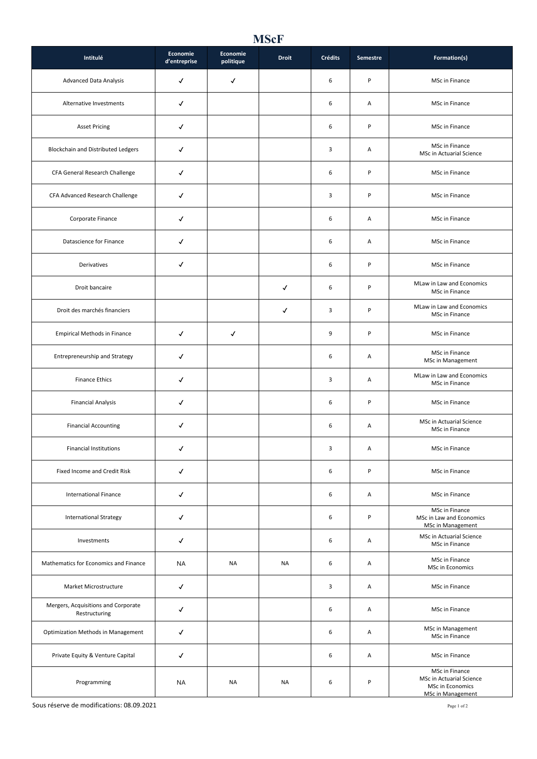## **MScF**

| Intitulé                                             | Economie<br>d'entreprise | Economie<br>politique | <b>Droit</b> | <b>Crédits</b> | Semestre | Formation(s)                                                                               |
|------------------------------------------------------|--------------------------|-----------------------|--------------|----------------|----------|--------------------------------------------------------------------------------------------|
| <b>Advanced Data Analysis</b>                        | $\checkmark$             | $\checkmark$          |              | 6              | P        | MSc in Finance                                                                             |
| Alternative Investments                              | $\checkmark$             |                       |              | 6              | Α        | MSc in Finance                                                                             |
| <b>Asset Pricing</b>                                 | $\checkmark$             |                       |              | 6              | P        | MSc in Finance                                                                             |
| Blockchain and Distributed Ledgers                   | $\checkmark$             |                       |              | 3              | Α        | MSc in Finance<br>MSc in Actuarial Science                                                 |
| CFA General Research Challenge                       | √                        |                       |              | 6              | P        | MSc in Finance                                                                             |
| CFA Advanced Research Challenge                      | √                        |                       |              | 3              | P        | MSc in Finance                                                                             |
| Corporate Finance                                    | √                        |                       |              | 6              | Α        | MSc in Finance                                                                             |
| Datascience for Finance                              | $\checkmark$             |                       |              | 6              | Α        | MSc in Finance                                                                             |
| Derivatives                                          | √                        |                       |              | 6              | P        | MSc in Finance                                                                             |
| Droit bancaire                                       |                          |                       | ✓            | 6              | P        | MLaw in Law and Economics<br>MSc in Finance                                                |
| Droit des marchés financiers                         |                          |                       | ✓            | 3              | P        | MLaw in Law and Economics<br>MSc in Finance                                                |
| <b>Empirical Methods in Finance</b>                  | $\checkmark$             | $\checkmark$          |              | 9              | P        | MSc in Finance                                                                             |
| Entrepreneurship and Strategy                        | √                        |                       |              | 6              | Α        | MSc in Finance<br>MSc in Management                                                        |
| <b>Finance Ethics</b>                                | √                        |                       |              | 3              | Α        | MLaw in Law and Economics<br>MSc in Finance                                                |
| <b>Financial Analysis</b>                            | ✓                        |                       |              | 6              | P        | MSc in Finance                                                                             |
| <b>Financial Accounting</b>                          | ✓                        |                       |              | 6              | Α        | MSc in Actuarial Science<br>MSc in Finance                                                 |
| <b>Financial Institutions</b>                        | ✓                        |                       |              | 3              | A        | MSc in Finance                                                                             |
| Fixed Income and Credit Risk                         | $\checkmark$             |                       |              | 6              | P        | MSc in Finance                                                                             |
| <b>International Finance</b>                         | $\checkmark$             |                       |              | 6              | Α        | MSc in Finance                                                                             |
| <b>International Strategy</b>                        | $\checkmark$             |                       |              | 6              | P        | MSc in Finance<br>MSc in Law and Economics<br>MSc in Management                            |
| Investments                                          | $\checkmark$             |                       |              | 6              | Α        | MSc in Actuarial Science<br>MSc in Finance                                                 |
| Mathematics for Economics and Finance                | NA                       | NA                    | NA           | 6              | Α        | MSc in Finance<br>MSc in Economics                                                         |
| Market Microstructure                                | $\checkmark$             |                       |              | 3              | Α        | MSc in Finance                                                                             |
| Mergers, Acquisitions and Corporate<br>Restructuring | $\checkmark$             |                       |              | 6              | Α        | MSc in Finance                                                                             |
| <b>Optimization Methods in Management</b>            | √                        |                       |              | 6              | Α        | MSc in Management<br>MSc in Finance                                                        |
| Private Equity & Venture Capital                     | $\checkmark$             |                       |              | 6              | Α        | MSc in Finance                                                                             |
| Programming                                          | NA                       | NA                    | NA           | 6              | P        | MSc in Finance<br>MSc in Actuarial Science<br>MSc in Economics<br><b>MSc in Management</b> |